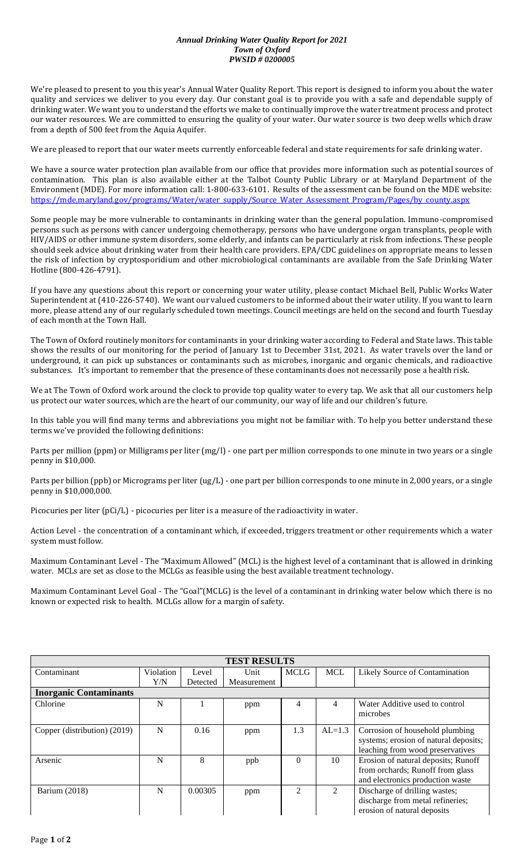## *Annual Drinking Water Quality Report for 2021 Town of Oxford PWSID # 0200005*

We're pleased to present to you this year's Annual Water Quality Report. This report is designed to inform you about the water quality and services we deliver to you every day. Our constant goal is to provide you with a safe and dependable supply of drinking water. We want you to understand the efforts we make to continually improve the water treatment process and protect our water resources. We are committed to ensuring the quality of your water. Our water source is two deep wells which draw from a depth of 500 feet from the Aquia Aquifer.

We are pleased to report that our water meets currently enforceable federal and state requirements for safe drinking water.

We have a source water protection plan available from our office that provides more information such as potential sources of contamination. This plan is also available either at the Talbot County Public Library or at Maryland Department of the Environment (MDE). For more information call: 1-800-633-6101. Results of the assessment can be found on the MDE website: [https://mde.maryland.gov/programs/Water/water\\_supply/Source\\_Water\\_Assessment\\_Program/Pages/by\\_county.aspx](https://mde.maryland.gov/programs/Water/water_supply/Source_Water_Assessment_Program/Pages/by_county.aspx)

Some people may be more vulnerable to contaminants in drinking water than the general population. Immuno-compromised persons such as persons with cancer undergoing chemotherapy, persons who have undergone organ transplants, people with HIV/AIDS or other immune system disorders, some elderly, and infants can be particularly at risk from infections. These people should seek advice about drinking water from their health care providers. EPA/CDC guidelines on appropriate means to lessen the risk of infection by cryptosporidium and other microbiological contaminants are available from the Safe Drinking Water Hotline (800-426-4791).

If you have any questions about this report or concerning your water utility, please contact Michael Bell, Public Works Water Superintendent at (410-226-5740). We want our valued customers to be informed about their water utility. If you want to learn more, please attend any of our regularly scheduled town meetings. Council meetings are held on the second and fourth Tuesday of each month at the Town Hall.

The Town of Oxford routinely monitors for contaminants in your drinking water according to Federal and State laws. This table shows the results of our monitoring for the period of January 1st to December 31st, 2021. As water travels over the land or underground, it can pick up substances or contaminants such as microbes, inorganic and organic chemicals, and radioactive substances. It's important to remember that the presence of these contaminants does not necessarily pose a health risk.

We at The Town of Oxford work around the clock to provide top quality water to every tap. We ask that all our customers help us protect our water sources, which are the heart of our community, our way of life and our children's future.

In this table you will find many terms and abbreviations you might not be familiar with. To help you better understand these terms we've provided the following definitions:

Parts per million (ppm) or Milligrams per liter (mg/l) - one part per million corresponds to one minute in two years or a single penny in \$10,000.

Parts per billion (ppb) or Micrograms per liter (ug/L) - one part per billion corresponds to one minute in 2,000 years, or a single penny in \$10,000,000.

Picocuries per liter (pCi/L) - picocuries per liter is a measure of the radioactivity in water.

Action Level - the concentration of a contaminant which, if exceeded, triggers treatment or other requirements which a water system must follow.

Maximum Contaminant Level - The "Maximum Allowed" (MCL) is the highest level of a contaminant that is allowed in drinking water. MCLs are set as close to the MCLGs as feasible using the best available treatment technology.

Maximum Contaminant Level Goal - The "Goal"(MCLG) is the level of a contaminant in drinking water below which there is no known or expected risk to health. MCLGs allow for a margin of safety.

| <b>TEST RESULTS</b>           |           |          |             |                             |             |                                                                                                              |  |  |  |  |
|-------------------------------|-----------|----------|-------------|-----------------------------|-------------|--------------------------------------------------------------------------------------------------------------|--|--|--|--|
| Contaminant                   | Violation | Level    | Unit        | <b>MCLG</b>                 | MCL         | Likely Source of Contamination                                                                               |  |  |  |  |
|                               | Y/N       | Detected | Measurement |                             |             |                                                                                                              |  |  |  |  |
| <b>Inorganic Contaminants</b> |           |          |             |                             |             |                                                                                                              |  |  |  |  |
| Chlorine                      | N         |          | ppm         | 4                           | 4           | Water Additive used to control<br>microbes                                                                   |  |  |  |  |
| Copper (distribution) (2019)  | N         | 0.16     | ppm         | 1.3                         | $AL=1.3$    | Corrosion of household plumbing<br>systems; erosion of natural deposits;<br>leaching from wood preservatives |  |  |  |  |
| Arsenic                       | N         | 8        | ppb         | $\theta$                    | 10          | Erosion of natural deposits; Runoff<br>from orchards; Runoff from glass<br>and electronics production waste  |  |  |  |  |
| Barium (2018)                 | N         | 0.00305  | ppm         | $\mathcal{D}_{\mathcal{L}}$ | $2^{\circ}$ | Discharge of drilling wastes;<br>discharge from metal refineries;<br>erosion of natural deposits             |  |  |  |  |